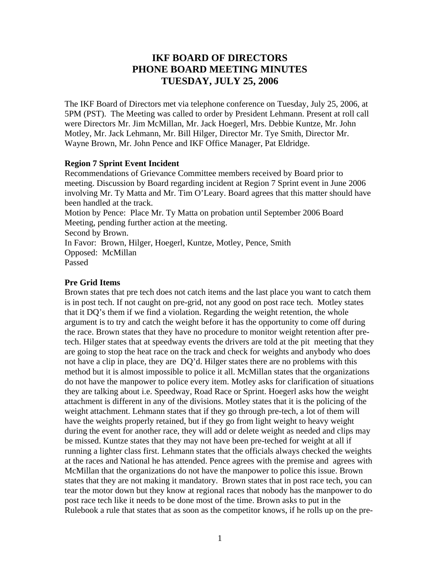# **IKF BOARD OF DIRECTORS PHONE BOARD MEETING MINUTES TUESDAY, JULY 25, 2006**

The IKF Board of Directors met via telephone conference on Tuesday, July 25, 2006, at 5PM (PST). The Meeting was called to order by President Lehmann. Present at roll call were Directors Mr. Jim McMillan, Mr. Jack Hoegerl, Mrs. Debbie Kuntze, Mr. John Motley, Mr. Jack Lehmann, Mr. Bill Hilger, Director Mr. Tye Smith, Director Mr. Wayne Brown, Mr. John Pence and IKF Office Manager, Pat Eldridge.

# **Region 7 Sprint Event Incident**

Recommendations of Grievance Committee members received by Board prior to meeting. Discussion by Board regarding incident at Region 7 Sprint event in June 2006 involving Mr. Ty Matta and Mr. Tim O'Leary. Board agrees that this matter should have been handled at the track. Motion by Pence: Place Mr. Ty Matta on probation until September 2006 Board Meeting, pending further action at the meeting. Second by Brown. In Favor: Brown, Hilger, Hoegerl, Kuntze, Motley, Pence, Smith Opposed: McMillan Passed

# **Pre Grid Items**

Brown states that pre tech does not catch items and the last place you want to catch them is in post tech. If not caught on pre-grid, not any good on post race tech. Motley states that it DQ's them if we find a violation. Regarding the weight retention, the whole argument is to try and catch the weight before it has the opportunity to come off during the race. Brown states that they have no procedure to monitor weight retention after pretech. Hilger states that at speedway events the drivers are told at the pit meeting that they are going to stop the heat race on the track and check for weights and anybody who does not have a clip in place, they are DQ'd. Hilger states there are no problems with this method but it is almost impossible to police it all. McMillan states that the organizations do not have the manpower to police every item. Motley asks for clarification of situations they are talking about i.e. Speedway, Road Race or Sprint. Hoegerl asks how the weight attachment is different in any of the divisions. Motley states that it is the policing of the weight attachment. Lehmann states that if they go through pre-tech, a lot of them will have the weights properly retained, but if they go from light weight to heavy weight during the event for another race, they will add or delete weight as needed and clips may be missed. Kuntze states that they may not have been pre-teched for weight at all if running a lighter class first. Lehmann states that the officials always checked the weights at the races and National he has attended. Pence agrees with the premise and agrees with McMillan that the organizations do not have the manpower to police this issue. Brown states that they are not making it mandatory. Brown states that in post race tech, you can tear the motor down but they know at regional races that nobody has the manpower to do post race tech like it needs to be done most of the time. Brown asks to put in the Rulebook a rule that states that as soon as the competitor knows, if he rolls up on the pre-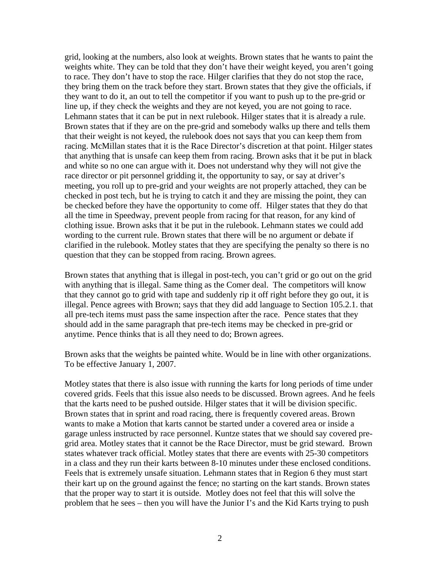grid, looking at the numbers, also look at weights. Brown states that he wants to paint the weights white. They can be told that they don't have their weight keyed, you aren't going to race. They don't have to stop the race. Hilger clarifies that they do not stop the race, they bring them on the track before they start. Brown states that they give the officials, if they want to do it, an out to tell the competitor if you want to push up to the pre-grid or line up, if they check the weights and they are not keyed, you are not going to race. Lehmann states that it can be put in next rulebook. Hilger states that it is already a rule. Brown states that if they are on the pre-grid and somebody walks up there and tells them that their weight is not keyed, the rulebook does not says that you can keep them from racing. McMillan states that it is the Race Director's discretion at that point. Hilger states that anything that is unsafe can keep them from racing. Brown asks that it be put in black and white so no one can argue with it. Does not understand why they will not give the race director or pit personnel gridding it, the opportunity to say, or say at driver's meeting, you roll up to pre-grid and your weights are not properly attached, they can be checked in post tech, but he is trying to catch it and they are missing the point, they can be checked before they have the opportunity to come off. Hilger states that they do that all the time in Speedway, prevent people from racing for that reason, for any kind of clothing issue. Brown asks that it be put in the rulebook. Lehmann states we could add wording to the current rule. Brown states that there will be no argument or debate if clarified in the rulebook. Motley states that they are specifying the penalty so there is no question that they can be stopped from racing. Brown agrees.

Brown states that anything that is illegal in post-tech, you can't grid or go out on the grid with anything that is illegal. Same thing as the Comer deal. The competitors will know that they cannot go to grid with tape and suddenly rip it off right before they go out, it is illegal. Pence agrees with Brown; says that they did add language to Section 105.2.1. that all pre-tech items must pass the same inspection after the race. Pence states that they should add in the same paragraph that pre-tech items may be checked in pre-grid or anytime. Pence thinks that is all they need to do; Brown agrees.

Brown asks that the weights be painted white. Would be in line with other organizations. To be effective January 1, 2007.

Motley states that there is also issue with running the karts for long periods of time under covered grids. Feels that this issue also needs to be discussed. Brown agrees. And he feels that the karts need to be pushed outside. Hilger states that it will be division specific. Brown states that in sprint and road racing, there is frequently covered areas. Brown wants to make a Motion that karts cannot be started under a covered area or inside a garage unless instructed by race personnel. Kuntze states that we should say covered pregrid area. Motley states that it cannot be the Race Director, must be grid steward. Brown states whatever track official. Motley states that there are events with 25-30 competitors in a class and they run their karts between 8-10 minutes under these enclosed conditions. Feels that is extremely unsafe situation. Lehmann states that in Region 6 they must start their kart up on the ground against the fence; no starting on the kart stands. Brown states that the proper way to start it is outside. Motley does not feel that this will solve the problem that he sees – then you will have the Junior I's and the Kid Karts trying to push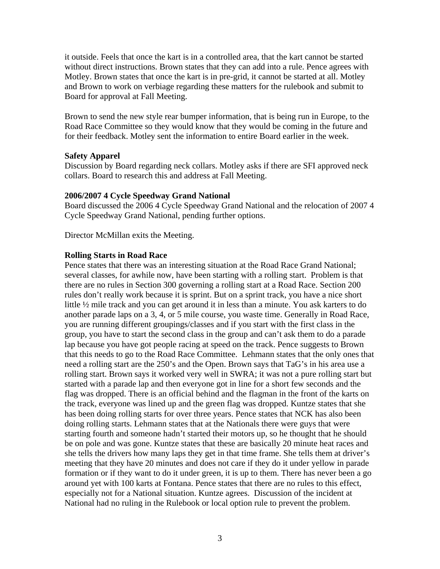it outside. Feels that once the kart is in a controlled area, that the kart cannot be started without direct instructions. Brown states that they can add into a rule. Pence agrees with Motley. Brown states that once the kart is in pre-grid, it cannot be started at all. Motley and Brown to work on verbiage regarding these matters for the rulebook and submit to Board for approval at Fall Meeting.

Brown to send the new style rear bumper information, that is being run in Europe, to the Road Race Committee so they would know that they would be coming in the future and for their feedback. Motley sent the information to entire Board earlier in the week.

## **Safety Apparel**

Discussion by Board regarding neck collars. Motley asks if there are SFI approved neck collars. Board to research this and address at Fall Meeting.

#### **2006/2007 4 Cycle Speedway Grand National**

Board discussed the 2006 4 Cycle Speedway Grand National and the relocation of 2007 4 Cycle Speedway Grand National, pending further options.

Director McMillan exits the Meeting.

#### **Rolling Starts in Road Race**

Pence states that there was an interesting situation at the Road Race Grand National; several classes, for awhile now, have been starting with a rolling start. Problem is that there are no rules in Section 300 governing a rolling start at a Road Race. Section 200 rules don't really work because it is sprint. But on a sprint track, you have a nice short little ½ mile track and you can get around it in less than a minute. You ask karters to do another parade laps on a 3, 4, or 5 mile course, you waste time. Generally in Road Race, you are running different groupings/classes and if you start with the first class in the group, you have to start the second class in the group and can't ask them to do a parade lap because you have got people racing at speed on the track. Pence suggests to Brown that this needs to go to the Road Race Committee. Lehmann states that the only ones that need a rolling start are the 250's and the Open. Brown says that TaG's in his area use a rolling start. Brown says it worked very well in SWRA; it was not a pure rolling start but started with a parade lap and then everyone got in line for a short few seconds and the flag was dropped. There is an official behind and the flagman in the front of the karts on the track, everyone was lined up and the green flag was dropped. Kuntze states that she has been doing rolling starts for over three years. Pence states that NCK has also been doing rolling starts. Lehmann states that at the Nationals there were guys that were starting fourth and someone hadn't started their motors up, so he thought that he should be on pole and was gone. Kuntze states that these are basically 20 minute heat races and she tells the drivers how many laps they get in that time frame. She tells them at driver's meeting that they have 20 minutes and does not care if they do it under yellow in parade formation or if they want to do it under green, it is up to them. There has never been a go around yet with 100 karts at Fontana. Pence states that there are no rules to this effect, especially not for a National situation. Kuntze agrees. Discussion of the incident at National had no ruling in the Rulebook or local option rule to prevent the problem.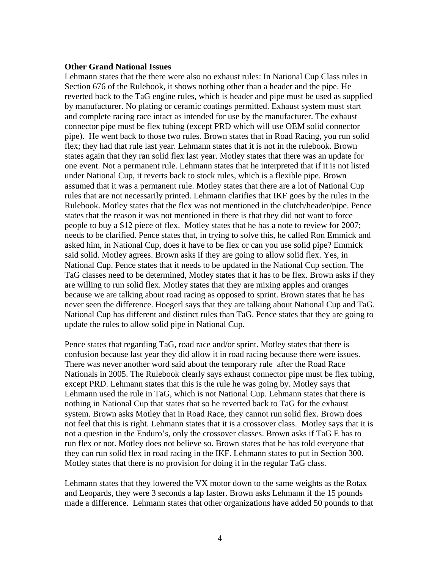### **Other Grand National Issues**

Lehmann states that the there were also no exhaust rules: In National Cup Class rules in Section 676 of the Rulebook, it shows nothing other than a header and the pipe. He reverted back to the TaG engine rules, which is header and pipe must be used as supplied by manufacturer. No plating or ceramic coatings permitted. Exhaust system must start and complete racing race intact as intended for use by the manufacturer. The exhaust connector pipe must be flex tubing (except PRD which will use OEM solid connector pipe). He went back to those two rules. Brown states that in Road Racing, you run solid flex; they had that rule last year. Lehmann states that it is not in the rulebook. Brown states again that they ran solid flex last year. Motley states that there was an update for one event. Not a permanent rule. Lehmann states that he interpreted that if it is not listed under National Cup, it reverts back to stock rules, which is a flexible pipe. Brown assumed that it was a permanent rule. Motley states that there are a lot of National Cup rules that are not necessarily printed. Lehmann clarifies that IKF goes by the rules in the Rulebook. Motley states that the flex was not mentioned in the clutch/header/pipe. Pence states that the reason it was not mentioned in there is that they did not want to force people to buy a \$12 piece of flex. Motley states that he has a note to review for 2007; needs to be clarified. Pence states that, in trying to solve this, he called Ron Emmick and asked him, in National Cup, does it have to be flex or can you use solid pipe? Emmick said solid. Motley agrees. Brown asks if they are going to allow solid flex. Yes, in National Cup. Pence states that it needs to be updated in the National Cup section. The TaG classes need to be determined, Motley states that it has to be flex. Brown asks if they are willing to run solid flex. Motley states that they are mixing apples and oranges because we are talking about road racing as opposed to sprint. Brown states that he has never seen the difference. Hoegerl says that they are talking about National Cup and TaG. National Cup has different and distinct rules than TaG. Pence states that they are going to update the rules to allow solid pipe in National Cup.

Pence states that regarding TaG, road race and/or sprint. Motley states that there is confusion because last year they did allow it in road racing because there were issues. There was never another word said about the temporary rule after the Road Race Nationals in 2005. The Rulebook clearly says exhaust connector pipe must be flex tubing, except PRD. Lehmann states that this is the rule he was going by. Motley says that Lehmann used the rule in TaG, which is not National Cup. Lehmann states that there is nothing in National Cup that states that so he reverted back to TaG for the exhaust system. Brown asks Motley that in Road Race, they cannot run solid flex. Brown does not feel that this is right. Lehmann states that it is a crossover class. Motley says that it is not a question in the Enduro's, only the crossover classes. Brown asks if TaG E has to run flex or not. Motley does not believe so. Brown states that he has told everyone that they can run solid flex in road racing in the IKF. Lehmann states to put in Section 300. Motley states that there is no provision for doing it in the regular TaG class.

Lehmann states that they lowered the VX motor down to the same weights as the Rotax and Leopards, they were 3 seconds a lap faster. Brown asks Lehmann if the 15 pounds made a difference. Lehmann states that other organizations have added 50 pounds to that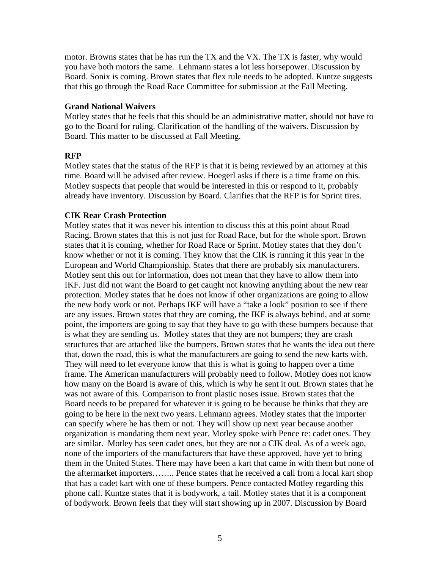motor. Browns states that he has run the TX and the VX. The TX is faster, why would you have both motors the same. Lehmann states a lot less horsepower. Discussion by Board. Sonix is coming. Brown states that flex rule needs to be adopted. Kuntze suggests that this go through the Road Race Committee for submission at the Fall Meeting.

## **Grand National Waivers**

Motley states that he feels that this should be an administrative matter, should not have to go to the Board for ruling. Clarification of the handling of the waivers. Discussion by Board. This matter to be discussed at Fall Meeting.

# **RFP**

Motley states that the status of the RFP is that it is being reviewed by an attorney at this time. Board will be advised after review. Hoegerl asks if there is a time frame on this. Motley suspects that people that would be interested in this or respond to it, probably already have inventory. Discussion by Board. Clarifies that the RFP is for Sprint tires.

# **CIK Rear Crash Protection**

Motley states that it was never his intention to discuss this at this point about Road Racing. Brown states that this is not just for Road Race, but for the whole sport. Brown states that it is coming, whether for Road Race or Sprint. Motley states that they don't know whether or not it is coming. They know that the CIK is running it this year in the European and World Championship. States that there are probably six manufacturers. Motley sent this out for information, does not mean that they have to allow them into IKF. Just did not want the Board to get caught not knowing anything about the new rear protection. Motley states that he does not know if other organizations are going to allow the new body work or not. Perhaps IKF will have a "take a look" position to see if there are any issues. Brown states that they are coming, the IKF is always behind, and at some point, the importers are going to say that they have to go with these bumpers because that is what they are sending us. Motley states that they are not bumpers; they are crash structures that are attached like the bumpers. Brown states that he wants the idea out there that, down the road, this is what the manufacturers are going to send the new karts with. They will need to let everyone know that this is what is going to happen over a time frame. The American manufacturers will probably need to follow. Motley does not know how many on the Board is aware of this, which is why he sent it out. Brown states that he was not aware of this. Comparison to front plastic noses issue. Brown states that the Board needs to be prepared for whatever it is going to be because he thinks that they are going to be here in the next two years. Lehmann agrees. Motley states that the importer can specify where he has them or not. They will show up next year because another organization is mandating them next year. Motley spoke with Pence re: cadet ones. They are similar. Motley has seen cadet ones, but they are not a CIK deal. As of a week ago, none of the importers of the manufacturers that have these approved, have yet to bring them in the United States. There may have been a kart that came in with them but none of the aftermarket importers…….. Pence states that he received a call from a local kart shop that has a cadet kart with one of these bumpers. Pence contacted Motley regarding this phone call. Kuntze states that it is bodywork, a tail. Motley states that it is a component of bodywork. Brown feels that they will start showing up in 2007. Discussion by Board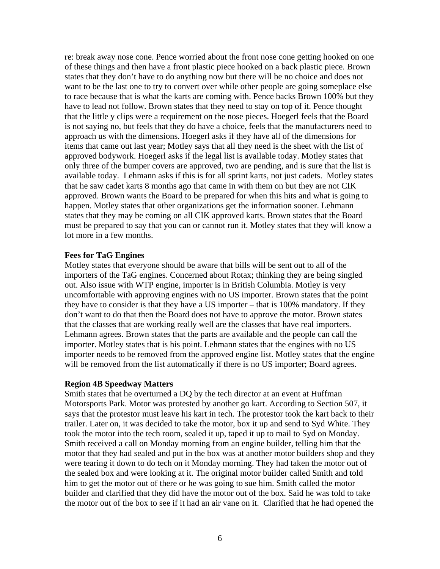re: break away nose cone. Pence worried about the front nose cone getting hooked on one of these things and then have a front plastic piece hooked on a back plastic piece. Brown states that they don't have to do anything now but there will be no choice and does not want to be the last one to try to convert over while other people are going someplace else to race because that is what the karts are coming with. Pence backs Brown 100% but they have to lead not follow. Brown states that they need to stay on top of it. Pence thought that the little y clips were a requirement on the nose pieces. Hoegerl feels that the Board is not saying no, but feels that they do have a choice, feels that the manufacturers need to approach us with the dimensions. Hoegerl asks if they have all of the dimensions for items that came out last year; Motley says that all they need is the sheet with the list of approved bodywork. Hoegerl asks if the legal list is available today. Motley states that only three of the bumper covers are approved, two are pending, and is sure that the list is available today. Lehmann asks if this is for all sprint karts, not just cadets. Motley states that he saw cadet karts 8 months ago that came in with them on but they are not CIK approved. Brown wants the Board to be prepared for when this hits and what is going to happen. Motley states that other organizations get the information sooner. Lehmann states that they may be coming on all CIK approved karts. Brown states that the Board must be prepared to say that you can or cannot run it. Motley states that they will know a lot more in a few months.

#### **Fees for TaG Engines**

Motley states that everyone should be aware that bills will be sent out to all of the importers of the TaG engines. Concerned about Rotax; thinking they are being singled out. Also issue with WTP engine, importer is in British Columbia. Motley is very uncomfortable with approving engines with no US importer. Brown states that the point they have to consider is that they have a US importer – that is 100% mandatory. If they don't want to do that then the Board does not have to approve the motor. Brown states that the classes that are working really well are the classes that have real importers. Lehmann agrees. Brown states that the parts are available and the people can call the importer. Motley states that is his point. Lehmann states that the engines with no US importer needs to be removed from the approved engine list. Motley states that the engine will be removed from the list automatically if there is no US importer; Board agrees.

#### **Region 4B Speedway Matters**

Smith states that he overturned a DQ by the tech director at an event at Huffman Motorsports Park. Motor was protested by another go kart. According to Section 507, it says that the protestor must leave his kart in tech. The protestor took the kart back to their trailer. Later on, it was decided to take the motor, box it up and send to Syd White. They took the motor into the tech room, sealed it up, taped it up to mail to Syd on Monday. Smith received a call on Monday morning from an engine builder, telling him that the motor that they had sealed and put in the box was at another motor builders shop and they were tearing it down to do tech on it Monday morning. They had taken the motor out of the sealed box and were looking at it. The original motor builder called Smith and told him to get the motor out of there or he was going to sue him. Smith called the motor builder and clarified that they did have the motor out of the box. Said he was told to take the motor out of the box to see if it had an air vane on it. Clarified that he had opened the